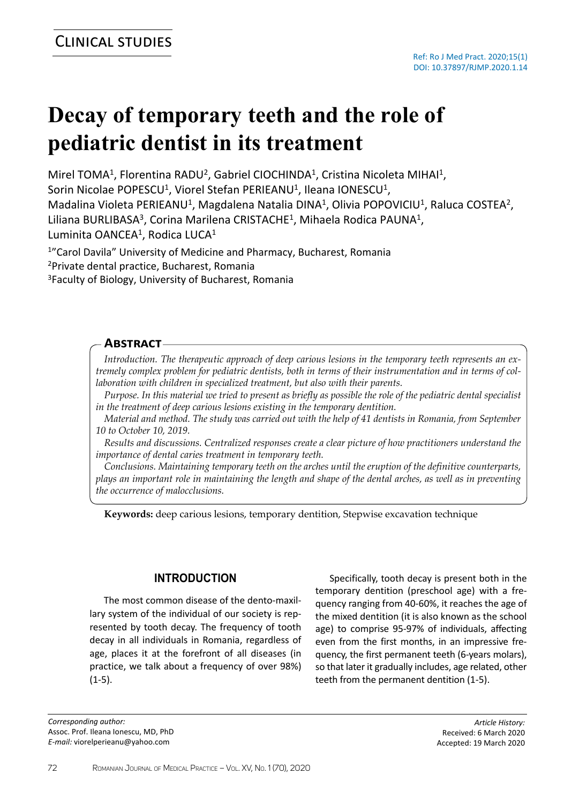# **Decay of temporary teeth and the role of pediatric dentist in its treatment**

Mirel TOMA<sup>1</sup>, Florentina RADU<sup>2</sup>, Gabriel CIOCHINDA<sup>1</sup>, Cristina Nicoleta MIHAI<sup>1</sup>, Sorin Nicolae POPESCU<sup>1</sup>, Viorel Stefan PERIEANU<sup>1</sup>, Ileana IONESCU<sup>1</sup>, Madalina Violeta PERIEANU<sup>1</sup>, Magdalena Natalia DINA<sup>1</sup>, Olivia POPOVICIU<sup>1</sup>, Raluca COSTEA<sup>2</sup>, Liliana BURLIBASA<sup>3</sup>, Corina Marilena CRISTACHE<sup>1</sup>, Mihaela Rodica PAUNA<sup>1</sup>,

Luminita OANCEA<sup>1</sup>, Rodica LUCA<sup>1</sup>

<sup>1</sup>"Carol Davila" University of Medicine and Pharmacy, Bucharest, Romania

<sup>2</sup>Private dental practice, Bucharest, Romania

<sup>3</sup>Faculty of Biology, University of Bucharest, Romania

## **Abstract**

*Introduction. The therapeutic approach of deep carious lesions in the temporary teeth represents an extremely complex problem for pediatric dentists, both in terms of their instrumentation and in terms of collaboration with children in specialized treatment, but also with their parents.*

*Purpose. In this material we tried to present as briefly as possible the role of the pediatric dental specialist in the treatment of deep carious lesions existing in the temporary dentition.*

*Material and method. The study was carried out with the help of 41 dentists in Romania, from September 10 to October 10, 2019.*

*Results and discussions. Centralized responses create a clear picture of how practitioners understand the importance of dental caries treatment in temporary teeth.*

*Conclusions. Maintaining temporary teeth on the arches until the eruption of the definitive counterparts, plays an important role in maintaining the length and shape of the dental arches, as well as in preventing the occurrence of malocclusions.*

**Keywords:** deep carious lesions, temporary dentition, Stepwise excavation technique

## **INTRODUCTION**

The most common disease of the dento-maxillary system of the individual of our society is represented by tooth decay. The frequency of tooth decay in all individuals in Romania, regardless of age, places it at the forefront of all diseases (in practice, we talk about a frequency of over 98%)  $(1-5)$ .

*Corresponding author:* Assoc. Prof. Ileana Ionescu, MD, PhD *E-mail:* viorelperieanu@yahoo.com

Specifically, tooth decay is present both in the temporary dentition (preschool age) with a frequency ranging from 40-60%, it reaches the age of the mixed dentition (it is also known as the school age) to comprise 95-97% of individuals, affecting even from the first months, in an impressive frequency, the first permanent teeth (6-years molars), so that later it gradually includes, age related, other teeth from the permanent dentition (1-5).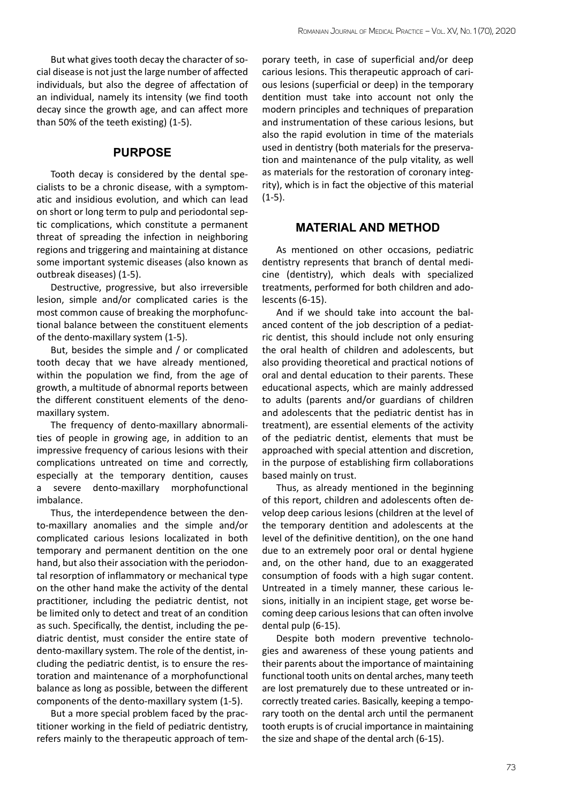But what gives tooth decay the character of social disease is not just the large number of affected individuals, but also the degree of affectation of an individual, namely its intensity (we find tooth decay since the growth age, and can affect more than 50% of the teeth existing) (1-5).

## **PURPOSE**

Tooth decay is considered by the dental specialists to be a chronic disease, with a symptomatic and insidious evolution, and which can lead on short or long term to pulp and periodontal septic complications, which constitute a permanent threat of spreading the infection in neighboring regions and triggering and maintaining at distance some important systemic diseases (also known as outbreak diseases) (1-5).

Destructive, progressive, but also irreversible lesion, simple and/or complicated caries is the most common cause of breaking the morphofunctional balance between the constituent elements of the dento-maxillary system (1-5).

But, besides the simple and / or complicated tooth decay that we have already mentioned, within the population we find, from the age of growth, a multitude of abnormal reports between the different constituent elements of the denomaxillary system.

The frequency of dento-maxillary abnormalities of people in growing age, in addition to an impressive frequency of carious lesions with their complications untreated on time and correctly, especially at the temporary dentition, causes a severe dento-maxillary morphofunctional imbalance.

Thus, the interdependence between the dento-maxillary anomalies and the simple and/or complicated carious lesions localizated in both temporary and permanent dentition on the one hand, but also their association with the periodontal resorption of inflammatory or mechanical type on the other hand make the activity of the dental practitioner, including the pediatric dentist, not be limited only to detect and treat of an condition as such. Specifically, the dentist, including the pediatric dentist, must consider the entire state of dento-maxillary system. The role of the dentist, including the pediatric dentist, is to ensure the restoration and maintenance of a morphofunctional balance as long as possible, between the different components of the dento-maxillary system (1-5).

But a more special problem faced by the practitioner working in the field of pediatric dentistry, refers mainly to the therapeutic approach of tem-

porary teeth, in case of superficial and/or deep carious lesions. This therapeutic approach of carious lesions (superficial or deep) in the temporary dentition must take into account not only the modern principles and techniques of preparation and instrumentation of these carious lesions, but also the rapid evolution in time of the materials used in dentistry (both materials for the preservation and maintenance of the pulp vitality, as well as materials for the restoration of coronary integrity), which is in fact the objective of this material  $(1-5)$ .

# **MATERIAL AND METHOD**

As mentioned on other occasions, pediatric dentistry represents that branch of dental medicine (dentistry), which deals with specialized treatments, performed for both children and adolescents (6-15).

And if we should take into account the balanced content of the job description of a pediatric dentist, this should include not only ensuring the oral health of children and adolescents, but also providing theoretical and practical notions of oral and dental education to their parents. These educational aspects, which are mainly addressed to adults (parents and/or guardians of children and adolescents that the pediatric dentist has in treatment), are essential elements of the activity of the pediatric dentist, elements that must be approached with special attention and discretion, in the purpose of establishing firm collaborations based mainly on trust.

Thus, as already mentioned in the beginning of this report, children and adolescents often develop deep carious lesions (children at the level of the temporary dentition and adolescents at the level of the definitive dentition), on the one hand due to an extremely poor oral or dental hygiene and, on the other hand, due to an exaggerated consumption of foods with a high sugar content. Untreated in a timely manner, these carious lesions, initially in an incipient stage, get worse becoming deep carious lesions that can often involve dental pulp (6-15).

Despite both modern preventive technologies and awareness of these young patients and their parents about the importance of maintaining functional tooth units on dental arches, many teeth are lost prematurely due to these untreated or incorrectly treated caries. Basically, keeping a temporary tooth on the dental arch until the permanent tooth erupts is of crucial importance in maintaining the size and shape of the dental arch (6-15).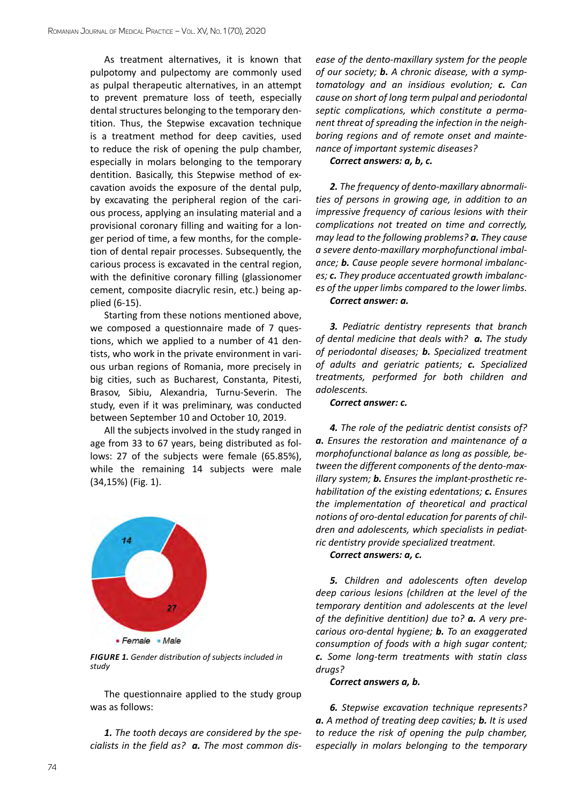As treatment alternatives, it is known that pulpotomy and pulpectomy are commonly used as pulpal therapeutic alternatives, in an attempt to prevent premature loss of teeth, especially dental structures belonging to the temporary dentition. Thus, the Stepwise excavation technique is a treatment method for deep cavities, used to reduce the risk of opening the pulp chamber, especially in molars belonging to the temporary dentition. Basically, this Stepwise method of excavation avoids the exposure of the dental pulp, by excavating the peripheral region of the carious process, applying an insulating material and a provisional coronary filling and waiting for a longer period of time, a few months, for the completion of dental repair processes. Subsequently, the carious process is excavated in the central region, with the definitive coronary filling (glassionomer cement, composite diacrylic resin, etc.) being applied (6-15).

Starting from these notions mentioned above, we composed a questionnaire made of 7 questions, which we applied to a number of 41 dentists, who work in the private environment in various urban regions of Romania, more precisely in big cities, such as Bucharest, Constanta, Pitesti, Brasov, Sibiu, Alexandria, Turnu-Severin. The study, even if it was preliminary, was conducted between September 10 and October 10, 2019.

All the subjects involved in the study ranged in age from 33 to 67 years, being distributed as follows: 27 of the subjects were female (65.85%), while the remaining 14 subjects were male (34,15%) (Fig. 1).



*FIGURE 1. Gender distribution of subjects included in study*

The questionnaire applied to the study group was as follows:

*1. The tooth decays are considered by the specialists in the field as? a. The most common dis-* *ease of the dento-maxillary system for the people of our society; b. A chronic disease, with a symptomatology and an insidious evolution; c. Can cause on short of long term pulpal and periodontal septic complications, which constitute a permanent threat of spreading the infection in the neighboring regions and of remote onset and maintenance of important systemic diseases?* 

## *Correct answers: a, b, c.*

*2. The frequency of dento-maxillary abnormalities of persons in growing age, in addition to an impressive frequency of carious lesions with their complications not treated on time and correctly, may lead to the following problems? a. They cause a severe dento-maxillary morphofunctional imbalance; b. Cause people severe hormonal imbalances; c. They produce accentuated growth imbalances of the upper limbs compared to the lower limbs. Correct answer: a.*

*3. Pediatric dentistry represents that branch of dental medicine that deals with? a. The study of periodontal diseases; b. Specialized treatment of adults and geriatric patients; c. Specialized treatments, performed for both children and adolescents.* 

#### *Correct answer: c.*

*4. The role of the pediatric dentist consists of? a. Ensures the restoration and maintenance of a morphofunctional balance as long as possible, between the different components of the dento-maxillary system; b. Ensures the implant-prosthetic rehabilitation of the existing edentations; c. Ensures the implementation of theoretical and practical notions of oro-dental education for parents of children and adolescents, which specialists in pediatric dentistry provide specialized treatment.* 

*Correct answers: a, c.*

*5. Children and adolescents often develop deep carious lesions (children at the level of the temporary dentition and adolescents at the level of the definitive dentition) due to? a. A very precarious oro-dental hygiene; b. To an exaggerated consumption of foods with a high sugar content; c. Some long-term treatments with statin class drugs?* 

#### *Correct answers a, b.*

*6. Stepwise excavation technique represents? a. A method of treating deep cavities; b. It is used to reduce the risk of opening the pulp chamber, especially in molars belonging to the temporary*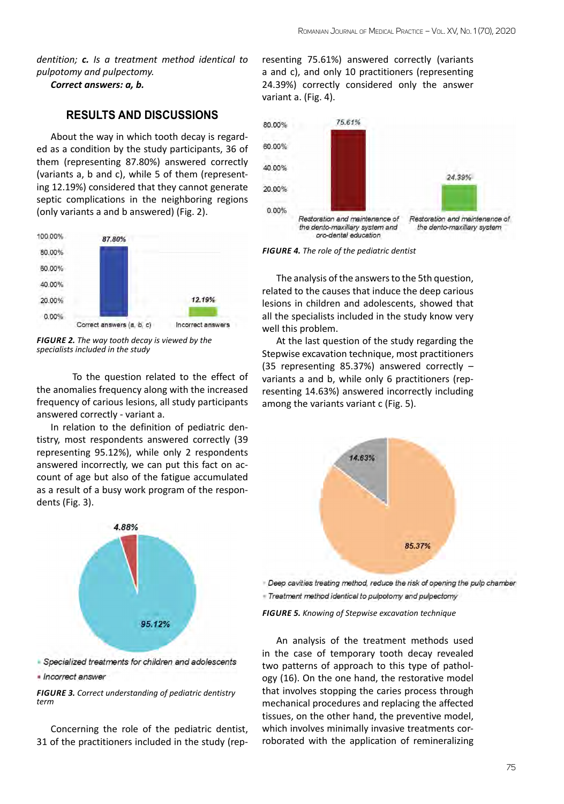*dentition; c. Is a treatment method identical to pulpotomy and pulpectomy.* 

*Correct answers: a, b.*

# **RESULTS AND DISCUSSIONS**

About the way in which tooth decay is regarded as a condition by the study participants, 36 of them (representing 87.80%) answered correctly (variants a, b and c), while 5 of them (representing 12.19%) considered that they cannot generate septic complications in the neighboring regions (only variants a and b answered) (Fig. 2).



*FIGURE 2. The way tooth decay is viewed by the specialists included in the study*

To the question related to the effect of the anomalies frequency along with the increased frequency of carious lesions, all study participants answered correctly - variant a.

In relation to the definition of pediatric dentistry, most respondents answered correctly (39 representing 95.12%), while only 2 respondents answered incorrectly, we can put this fact on account of age but also of the fatigue accumulated as a result of a busy work program of the respondents (Fig. 3).



Specialized treatments for children and adolescents · Incorrect answer

*FIGURE 3. Correct understanding of pediatric dentistry term*

Concerning the role of the pediatric dentist, 31 of the practitioners included in the study (representing 75.61%) answered correctly (variants a and c), and only 10 practitioners (representing 24.39%) correctly considered only the answer variant a. (Fig. 4).



*FIGURE 4. The role of the pediatric dentist*

The analysis of the answers to the 5th question, related to the causes that induce the deep carious lesions in children and adolescents, showed that all the specialists included in the study know very well this problem.

At the last question of the study regarding the Stepwise excavation technique, most practitioners (35 representing 85.37%) answered correctly – variants a and b, while only 6 practitioners (representing 14.63%) answered incorrectly including among the variants variant c (Fig. 5).



Deep cavities treating method, reduce the risk of opening the pulp chamber - Treatment method identical to pulpotomy and pulpectomy

*FIGURE 5. Knowing of Stepwise excavation technique*

An analysis of the treatment methods used in the case of temporary tooth decay revealed two patterns of approach to this type of pathology (16). On the one hand, the restorative model that involves stopping the caries process through mechanical procedures and replacing the affected tissues, on the other hand, the preventive model, which involves minimally invasive treatments corroborated with the application of remineralizing